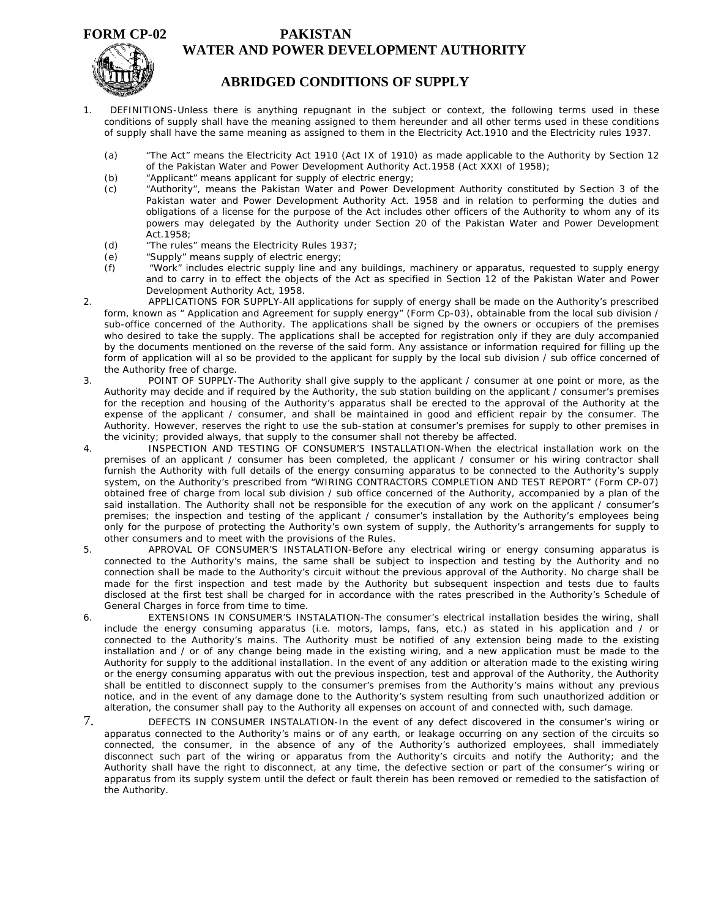## **FORM CP-02**

## **PAKISTAN WATER AND POWER DEVELOPMENT AUTHORITY**



## **ABRIDGED CONDITIONS OF SUPPLY**

- 1. DEFINITIONS-Unless there is anything repugnant in the subject or context, the following terms used in these conditions of supply shall have the meaning assigned to them hereunder and all other terms used in these conditions of supply shall have the same meaning as assigned to them in the Electricity Act.1910 and the Electricity rules 1937.
	- (a) "The Act" means the Electricity Act 1910 (Act IX of 1910) as made applicable to the Authority by Section 12 of the Pakistan Water and Power Development Authority Act.1958 (Act XXXI of 1958);
	- (b) "Applicant" means applicant for supply of electric energy;
	- (c) "Authority", means the Pakistan Water and Power Development Authority constituted by Section 3 of the Pakistan water and Power Development Authority Act. 1958 and in relation to performing the duties and obligations of a license for the purpose of the Act includes other officers of the Authority to whom any of its powers may delegated by the Authority under Section 20 of the Pakistan Water and Power Development Act.1958;
	- (d) "The rules" means the Electricity Rules 1937;
	- (e) "Supply" means supply of electric energy;
	- (f) "Work" includes electric supply line and any buildings, machinery or apparatus, requested to supply energy and to carry in to effect the objects of the Act as specified in Section 12 of the Pakistan Water and Power Development Authority Act, 1958.
- 2. APPLICATIONS FOR SUPPLY-All applications for supply of energy shall be made on the Authority's prescribed form, known as " Application and Agreement for supply energy" (Form Cp-03), obtainable from the local sub division / sub-office concerned of the Authority. The applications shall be signed by the owners or occupiers of the premises who desired to take the supply. The applications shall be accepted for registration only if they are duly accompanied by the documents mentioned on the reverse of the said form. Any assistance or information required for filling up the form of application will al so be provided to the applicant for supply by the local sub division / sub office concerned of the Authority free of charge.
- 3. POINT OF SUPPLY-The Authority shall give supply to the applicant / consumer at one point or more, as the Authority may decide and if required by the Authority, the sub station building on the applicant / consumer's premises for the reception and housing of the Authority's apparatus shall be erected to the approval of the Authority at the expense of the applicant / consumer, and shall be maintained in good and efficient repair by the consumer. The Authority. However, reserves the right to use the sub-station at consumer's premises for supply to other premises in the vicinity; provided always, that supply to the consumer shall not thereby be affected.
- 4. INSPECTION AND TESTING OF CONSUMER'S INSTALLATION-When the electrical installation work on the premises of an applicant / consumer has been completed, the applicant / consumer or his wiring contractor shall furnish the Authority with full details of the energy consuming apparatus to be connected to the Authority's supply system, on the Authority's prescribed from "WIRING CONTRACTORS COMPLETION AND TEST REPORT" (Form CP-07) obtained free of charge from local sub division / sub office concerned of the Authority, accompanied by a plan of the said installation. The Authority shall not be responsible for the execution of any work on the applicant / consumer's premises; the inspection and testing of the applicant / consumer's installation by the Authority's employees being only for the purpose of protecting the Authority's own system of supply, the Authority's arrangements for supply to other consumers and to meet with the provisions of the Rules.
- 5. APROVAL OF CONSUMER'S INSTALATION-Before any electrical wiring or energy consuming apparatus is connected to the Authority's mains, the same shall be subject to inspection and testing by the Authority and no connection shall be made to the Authority's circuit without the previous approval of the Authority. No charge shall be made for the first inspection and test made by the Authority but subsequent inspection and tests due to faults disclosed at the first test shall be charged for in accordance with the rates prescribed in the Authority's Schedule of General Charges in force from time to time.
- 6. EXTENSIONS IN CONSUMER'S INSTALATION-The consumer's electrical installation besides the wiring, shall include the energy consuming apparatus (i.e. motors, lamps, fans, etc.) as stated in his application and / or connected to the Authority's mains. The Authority must be notified of any extension being made to the existing installation and / or of any change being made in the existing wiring, and a new application must be made to the Authority for supply to the additional installation. In the event of any addition or alteration made to the existing wiring or the energy consuming apparatus with out the previous inspection, test and approval of the Authority, the Authority shall be entitled to disconnect supply to the consumer's premises from the Authority's mains without any previous notice, and in the event of any damage done to the Authority's system resulting from such unauthorized addition or alteration, the consumer shall pay to the Authority all expenses on account of and connected with, such damage.
- 7. DEFECTS IN CONSUMER INSTALATION-In the event of any defect discovered in the consumer's wiring or apparatus connected to the Authority's mains or of any earth, or leakage occurring on any section of the circuits so connected, the consumer, in the absence of any of the Authority's authorized employees, shall immediately disconnect such part of the wiring or apparatus from the Authority's circuits and notify the Authority; and the Authority shall have the right to disconnect, at any time, the defective section or part of the consumer's wiring or apparatus from its supply system until the defect or fault therein has been removed or remedied to the satisfaction of the Authority.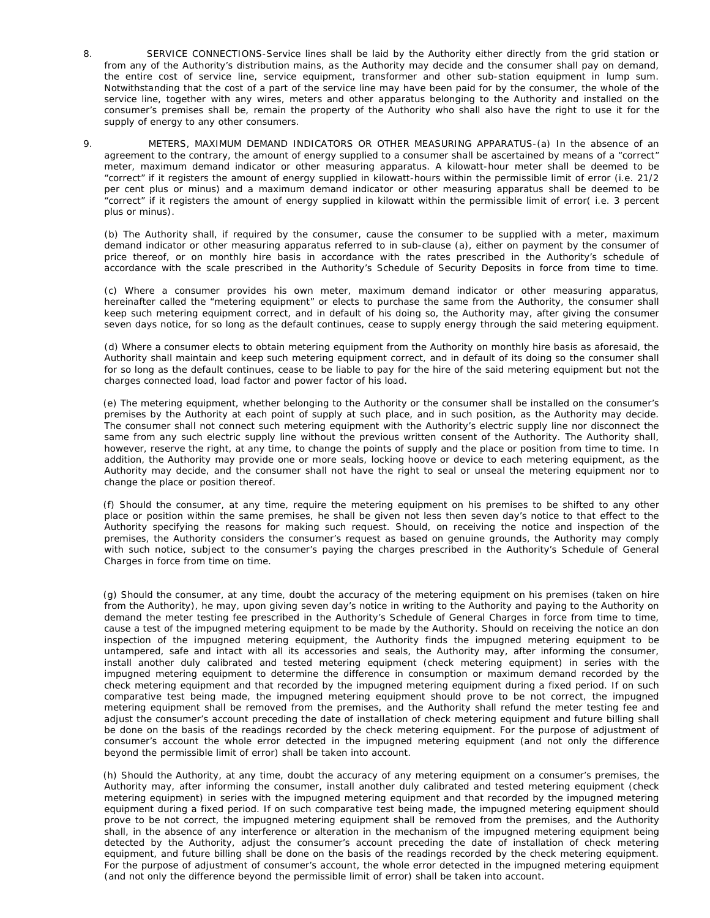- 8. SERVICE CONNECTIONS-Service lines shall be laid by the Authority either directly from the grid station or from any of the Authority's distribution mains, as the Authority may decide and the consumer shall pay on demand, the entire cost of service line, service equipment, transformer and other sub-station equipment in lump sum. Notwithstanding that the cost of a part of the service line may have been paid for by the consumer, the whole of the service line, together with any wires, meters and other apparatus belonging to the Authority and installed on the consumer's premises shall be, remain the property of the Authority who shall also have the right to use it for the supply of energy to any other consumers.
- 9. METERS, MAXIMUM DEMAND INDICATORS OR OTHER MEASURING APPARATUS-(a) In the absence of an agreement to the contrary, the amount of energy supplied to a consumer shall be ascertained by means of a "correct" meter, maximum demand indicator or other measuring apparatus. A kilowatt-hour meter shall be deemed to be "correct" if it registers the amount of energy supplied in kilowatt-hours within the permissible limit of error (i.e. 21/2 per cent plus or minus) and a maximum demand indicator or other measuring apparatus shall be deemed to be "correct" if it registers the amount of energy supplied in kilowatt within the permissible limit of error( i.e. 3 percent plus or minus).

(b) The Authority shall, if required by the consumer, cause the consumer to be supplied with a meter, maximum demand indicator or other measuring apparatus referred to in sub-clause (a), either on payment by the consumer of price thereof, or on monthly hire basis in accordance with the rates prescribed in the Authority's schedule of accordance with the scale prescribed in the Authority's Schedule of Security Deposits in force from time to time.

(c) Where a consumer provides his own meter, maximum demand indicator or other measuring apparatus, hereinafter called the "metering equipment" or elects to purchase the same from the Authority, the consumer shall keep such metering equipment correct, and in default of his doing so, the Authority may, after giving the consumer seven days notice, for so long as the default continues, cease to supply energy through the said metering equipment.

(d) Where a consumer elects to obtain metering equipment from the Authority on monthly hire basis as aforesaid, the Authority shall maintain and keep such metering equipment correct, and in default of its doing so the consumer shall for so long as the default continues, cease to be liable to pay for the hire of the said metering equipment but not the charges connected load, load factor and power factor of his load.

 (e) The metering equipment, whether belonging to the Authority or the consumer shall be installed on the consumer's premises by the Authority at each point of supply at such place, and in such position, as the Authority may decide. The consumer shall not connect such metering equipment with the Authority's electric supply line nor disconnect the same from any such electric supply line without the previous written consent of the Authority. The Authority shall, however, reserve the right, at any time, to change the points of supply and the place or position from time to time. In addition, the Authority may provide one or more seals, locking hoove or device to each metering equipment, as the Authority may decide, and the consumer shall not have the right to seal or unseal the metering equipment nor to change the place or position thereof.

 (f) Should the consumer, at any time, require the metering equipment on his premises to be shifted to any other place or position within the same premises, he shall be given not less then seven day's notice to that effect to the Authority specifying the reasons for making such request. Should, on receiving the notice and inspection of the premises, the Authority considers the consumer's request as based on genuine grounds, the Authority may comply with such notice, subject to the consumer's paying the charges prescribed in the Authority's Schedule of General Charges in force from time on time.

 (g) Should the consumer, at any time, doubt the accuracy of the metering equipment on his premises (taken on hire from the Authority), he may, upon giving seven day's notice in writing to the Authority and paying to the Authority on demand the meter testing fee prescribed in the Authority's Schedule of General Charges in force from time to time, cause a test of the impugned metering equipment to be made by the Authority. Should on receiving the notice an don inspection of the impugned metering equipment, the Authority finds the impugned metering equipment to be untampered, safe and intact with all its accessories and seals, the Authority may, after informing the consumer, install another duly calibrated and tested metering equipment (check metering equipment) in series with the impugned metering equipment to determine the difference in consumption or maximum demand recorded by the check metering equipment and that recorded by the impugned metering equipment during a fixed period. If on such comparative test being made, the impugned metering equipment should prove to be not correct, the impugned metering equipment shall be removed from the premises, and the Authority shall refund the meter testing fee and adjust the consumer's account preceding the date of installation of check metering equipment and future billing shall be done on the basis of the readings recorded by the check metering equipment. For the purpose of adjustment of consumer's account the whole error detected in the impugned metering equipment (and not only the difference beyond the permissible limit of error) shall be taken into account.

 (h) Should the Authority, at any time, doubt the accuracy of any metering equipment on a consumer's premises, the Authority may, after informing the consumer, install another duly calibrated and tested metering equipment (check metering equipment) in series with the impugned metering equipment and that recorded by the impugned metering equipment during a fixed period. If on such comparative test being made, the impugned metering equipment should prove to be not correct, the impugned metering equipment shall be removed from the premises, and the Authority shall, in the absence of any interference or alteration in the mechanism of the impugned metering equipment being detected by the Authority, adjust the consumer's account preceding the date of installation of check metering equipment, and future billing shall be done on the basis of the readings recorded by the check metering equipment. For the purpose of adjustment of consumer's account, the whole error detected in the impugned metering equipment (and not only the difference beyond the permissible limit of error) shall be taken into account.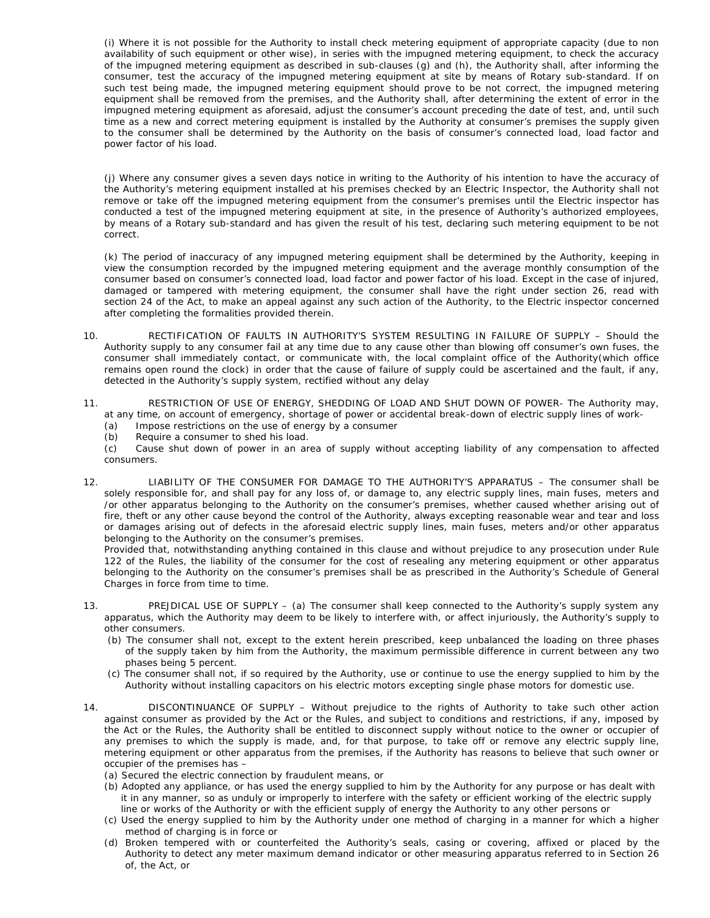(i) Where it is not possible for the Authority to install check metering equipment of appropriate capacity (due to non availability of such equipment or other wise), in series with the impugned metering equipment, to check the accuracy of the impugned metering equipment as described in sub-clauses (g) and (h), the Authority shall, after informing the consumer, test the accuracy of the impugned metering equipment at site by means of Rotary sub-standard. If on such test being made, the impugned metering equipment should prove to be not correct, the impugned metering equipment shall be removed from the premises, and the Authority shall, after determining the extent of error in the impugned metering equipment as aforesaid, adjust the consumer's account preceding the date of test, and, until such time as a new and correct metering equipment is installed by the Authority at consumer's premises the supply given to the consumer shall be determined by the Authority on the basis of consumer's connected load, load factor and power factor of his load.

(j) Where any consumer gives a seven days notice in writing to the Authority of his intention to have the accuracy of the Authority's metering equipment installed at his premises checked by an Electric Inspector, the Authority shall not remove or take off the impugned metering equipment from the consumer's premises until the Electric inspector has conducted a test of the impugned metering equipment at site, in the presence of Authority's authorized employees, by means of a Rotary sub-standard and has given the result of his test, declaring such metering equipment to be not correct.

(k) The period of inaccuracy of any impugned metering equipment shall be determined by the Authority, keeping in view the consumption recorded by the impugned metering equipment and the average monthly consumption of the consumer based on consumer's connected load, load factor and power factor of his load. Except in the case of injured, damaged or tampered with metering equipment, the consumer shall have the right under section 26, read with section 24 of the Act, to make an appeal against any such action of the Authority, to the Electric inspector concerned after completing the formalities provided therein.

- 10. RECTIFICATION OF FAULTS IN AUTHORITY'S SYSTEM RESULTING IN FAILURE OF SUPPLY Should the Authority supply to any consumer fail at any time due to any cause other than blowing off consumer's own fuses, the consumer shall immediately contact, or communicate with, the local complaint office of the Authority(which office remains open round the clock) in order that the cause of failure of supply could be ascertained and the fault, if any, detected in the Authority's supply system, rectified without any delay
- 11. RESTRICTION OF USE OF ENERGY, SHEDDING OF LOAD AND SHUT DOWN OF POWER- The Authority may, at any time, on account of emergency, shortage of power or accidental break-down of electric supply lines of work-
	- (a) Impose restrictions on the use of energy by a consumer
	- (b) Require a consumer to shed his load.
	- (c) Cause shut down of power in an area of supply without accepting liability of any compensation to affected consumers.
- 12. LIABILITY OF THE CONSUMER FOR DAMAGE TO THE AUTHORITY'S APPARATUS The consumer shall be solely responsible for, and shall pay for any loss of, or damage to, any electric supply lines, main fuses, meters and /or other apparatus belonging to the Authority on the consumer's premises, whether caused whether arising out of fire, theft or any other cause beyond the control of the Authority, always excepting reasonable wear and tear and loss or damages arising out of defects in the aforesaid electric supply lines, main fuses, meters and/or other apparatus belonging to the Authority on the consumer's premises.

Provided that, notwithstanding anything contained in this clause and without prejudice to any prosecution under Rule 122 of the Rules, the liability of the consumer for the cost of resealing any metering equipment or other apparatus belonging to the Authority on the consumer's premises shall be as prescribed in the Authority's Schedule of General Charges in force from time to time.

- 13. PREJDICAL USE OF SUPPLY (a) The consumer shall keep connected to the Authority's supply system any apparatus, which the Authority may deem to be likely to interfere with, or affect injuriously, the Authority's supply to other consumers.
	- (b) The consumer shall not, except to the extent herein prescribed, keep unbalanced the loading on three phases of the supply taken by him from the Authority, the maximum permissible difference in current between any two phases being 5 percent.
	- (c) The consumer shall not, if so required by the Authority, use or continue to use the energy supplied to him by the Authority without installing capacitors on his electric motors excepting single phase motors for domestic use.
- 14. DISCONTINUANCE OF SUPPLY Without prejudice to the rights of Authority to take such other action against consumer as provided by the Act or the Rules, and subject to conditions and restrictions, if any, imposed by the Act or the Rules, the Authority shall be entitled to disconnect supply without notice to the owner or occupier of any premises to which the supply is made, and, for that purpose, to take off or remove any electric supply line, metering equipment or other apparatus from the premises, if the Authority has reasons to believe that such owner or occupier of the premises has –

(a) Secured the electric connection by fraudulent means, or

- (b) Adopted any appliance, or has used the energy supplied to him by the Authority for any purpose or has dealt with it in any manner, so as unduly or improperly to interfere with the safety or efficient working of the electric supply line or works of the Authority or with the efficient supply of energy the Authority to any other persons or
- (c) Used the energy supplied to him by the Authority under one method of charging in a manner for which a higher method of charging is in force or
- (d) Broken tempered with or counterfeited the Authority's seals, casing or covering, affixed or placed by the Authority to detect any meter maximum demand indicator or other measuring apparatus referred to in Section 26 of, the Act, or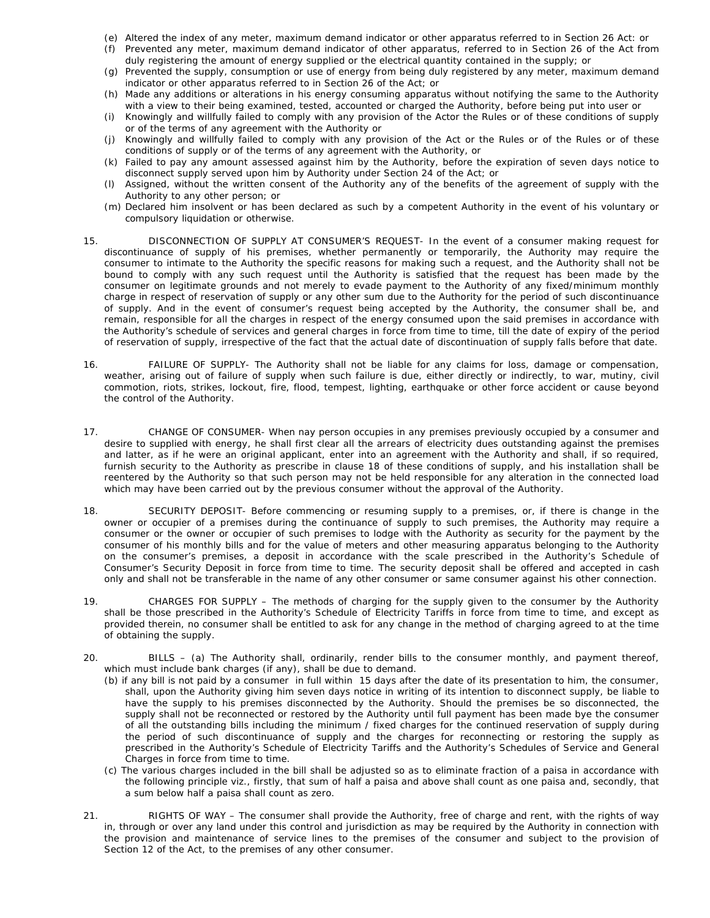- (e) Altered the index of any meter, maximum demand indicator or other apparatus referred to in Section 26 Act: or
- (f) Prevented any meter, maximum demand indicator of other apparatus, referred to in Section 26 of the Act from duly registering the amount of energy supplied or the electrical quantity contained in the supply; or
- (g) Prevented the supply, consumption or use of energy from being duly registered by any meter, maximum demand indicator or other apparatus referred to in Section 26 of the Act; or
- (h) Made any additions or alterations in his energy consuming apparatus without notifying the same to the Authority with a view to their being examined, tested, accounted or charged the Authority, before being put into user or
- (i) Knowingly and willfully failed to comply with any provision of the Actor the Rules or of these conditions of supply or of the terms of any agreement with the Authority or
- (j) Knowingly and willfully failed to comply with any provision of the Act or the Rules or of the Rules or of these conditions of supply or of the terms of any agreement with the Authority, or
- (k) Failed to pay any amount assessed against him by the Authority, before the expiration of seven days notice to disconnect supply served upon him by Authority under Section 24 of the Act; or
- (l) Assigned, without the written consent of the Authority any of the benefits of the agreement of supply with the Authority to any other person; or
- (m) Declared him insolvent or has been declared as such by a competent Authority in the event of his voluntary or compulsory liquidation or otherwise.
- 15. DISCONNECTION OF SUPPLY AT CONSUMER'S REQUEST- In the event of a consumer making request for discontinuance of supply of his premises, whether permanently or temporarily, the Authority may require the consumer to intimate to the Authority the specific reasons for making such a request, and the Authority shall not be bound to comply with any such request until the Authority is satisfied that the request has been made by the consumer on legitimate grounds and not merely to evade payment to the Authority of any fixed/minimum monthly charge in respect of reservation of supply or any other sum due to the Authority for the period of such discontinuance of supply. And in the event of consumer's request being accepted by the Authority, the consumer shall be, and remain, responsible for all the charges in respect of the energy consumed upon the said premises in accordance with the Authority's schedule of services and general charges in force from time to time, till the date of expiry of the period of reservation of supply, irrespective of the fact that the actual date of discontinuation of supply falls before that date.
- 16. FAILURE OF SUPPLY- The Authority shall not be liable for any claims for loss, damage or compensation, weather, arising out of failure of supply when such failure is due, either directly or indirectly, to war, mutiny, civil commotion, riots, strikes, lockout, fire, flood, tempest, lighting, earthquake or other force accident or cause beyond the control of the Authority.
- 17. CHANGE OF CONSUMER- When nay person occupies in any premises previously occupied by a consumer and desire to supplied with energy, he shall first clear all the arrears of electricity dues outstanding against the premises and latter, as if he were an original applicant, enter into an agreement with the Authority and shall, if so required, furnish security to the Authority as prescribe in clause 18 of these conditions of supply, and his installation shall be reentered by the Authority so that such person may not be held responsible for any alteration in the connected load which may have been carried out by the previous consumer without the approval of the Authority.
- 18. SECURITY DEPOSIT- Before commencing or resuming supply to a premises, or, if there is change in the owner or occupier of a premises during the continuance of supply to such premises, the Authority may require a consumer or the owner or occupier of such premises to lodge with the Authority as security for the payment by the consumer of his monthly bills and for the value of meters and other measuring apparatus belonging to the Authority on the consumer's premises, a deposit in accordance with the scale prescribed in the Authority's Schedule of Consumer's Security Deposit in force from time to time. The security deposit shall be offered and accepted in cash only and shall not be transferable in the name of any other consumer or same consumer against his other connection.
- 19. CHARGES FOR SUPPLY The methods of charging for the supply given to the consumer by the Authority shall be those prescribed in the Authority's Schedule of Electricity Tariffs in force from time to time, and except as provided therein, no consumer shall be entitled to ask for any change in the method of charging agreed to at the time of obtaining the supply.
- 20. BILLS (a) The Authority shall, ordinarily, render bills to the consumer monthly, and payment thereof, which must include bank charges (if any), shall be due to demand.
	- (b) if any bill is not paid by a consumer in full within 15 days after the date of its presentation to him, the consumer, shall, upon the Authority giving him seven days notice in writing of its intention to disconnect supply, be liable to have the supply to his premises disconnected by the Authority. Should the premises be so disconnected, the supply shall not be reconnected or restored by the Authority until full payment has been made bye the consumer of all the outstanding bills including the minimum / fixed charges for the continued reservation of supply during the period of such discontinuance of supply and the charges for reconnecting or restoring the supply as prescribed in the Authority's Schedule of Electricity Tariffs and the Authority's Schedules of Service and General Charges in force from time to time.
	- (c) The various charges included in the bill shall be adjusted so as to eliminate fraction of a paisa in accordance with the following principle viz., firstly, that sum of half a paisa and above shall count as one paisa and, secondly, that a sum below half a paisa shall count as zero.
- 21. RIGHTS OF WAY The consumer shall provide the Authority, free of charge and rent, with the rights of way in, through or over any land under this control and jurisdiction as may be required by the Authority in connection with the provision and maintenance of service lines to the premises of the consumer and subject to the provision of Section 12 of the Act, to the premises of any other consumer.